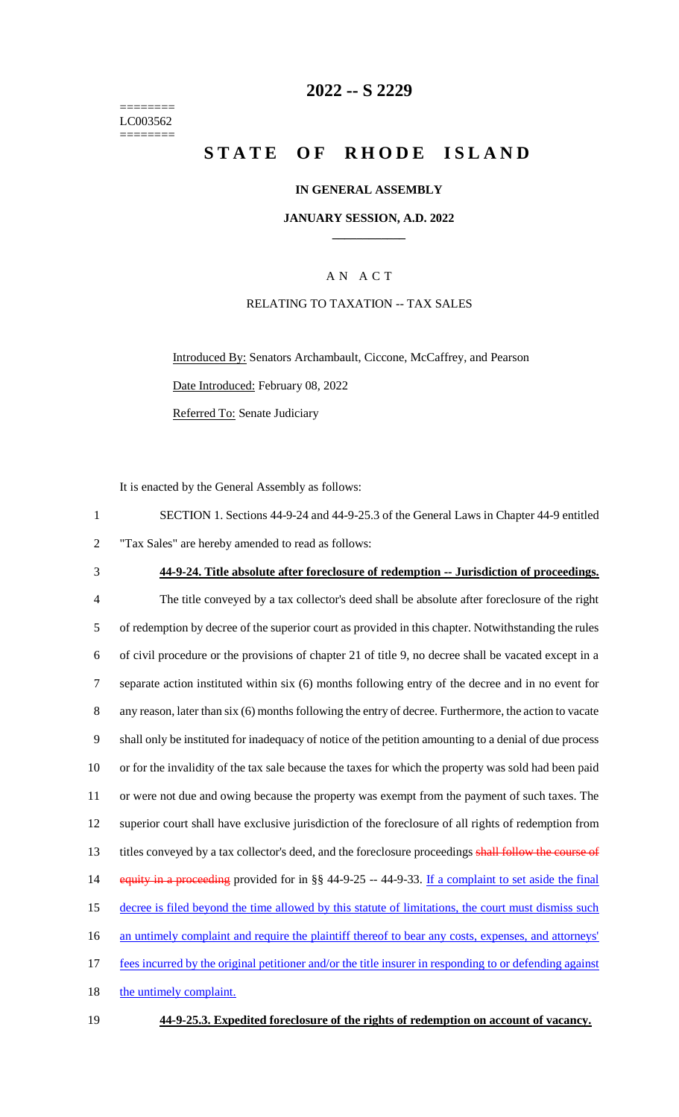======== LC003562 ========

# **2022 -- S 2229**

# **STATE OF RHODE ISLAND**

#### **IN GENERAL ASSEMBLY**

#### **JANUARY SESSION, A.D. 2022 \_\_\_\_\_\_\_\_\_\_\_\_**

### A N A C T

### RELATING TO TAXATION -- TAX SALES

Introduced By: Senators Archambault, Ciccone, McCaffrey, and Pearson Date Introduced: February 08, 2022 Referred To: Senate Judiciary

It is enacted by the General Assembly as follows:

| SECTION 1. Sections 44-9-24 and 44-9-25.3 of the General Laws in Chapter 44-9 entitled |
|----------------------------------------------------------------------------------------|
| "Tax Sales" are hereby amended to read as follows:                                     |

3 **44-9-24. Title absolute after foreclosure of redemption -- Jurisdiction of proceedings.**

| $\overline{4}$ | The title conveyed by a tax collector's deed shall be absolute after foreclosure of the right           |
|----------------|---------------------------------------------------------------------------------------------------------|
| 5              | of redemption by decree of the superior court as provided in this chapter. Notwithstanding the rules    |
| 6              | of civil procedure or the provisions of chapter 21 of title 9, no decree shall be vacated except in a   |
| 7              | separate action instituted within six (6) months following entry of the decree and in no event for      |
| 8              | any reason, later than six (6) months following the entry of decree. Furthermore, the action to vacate  |
| 9              | shall only be instituted for inadequacy of notice of the petition amounting to a denial of due process  |
| 10             | or for the invalidity of the tax sale because the taxes for which the property was sold had been paid   |
| 11             | or were not due and owing because the property was exempt from the payment of such taxes. The           |
| 12             | superior court shall have exclusive jurisdiction of the foreclosure of all rights of redemption from    |
| 13             | titles conveyed by a tax collector's deed, and the foreclosure proceedings shall follow the course of   |
| 14             | equity in a proceeding provided for in §§ 44-9-25 -- 44-9-33. If a complaint to set aside the final     |
| 15             | decree is filed beyond the time allowed by this statute of limitations, the court must dismiss such     |
| 16             | an untimely complaint and require the plaintiff thereof to bear any costs, expenses, and attorneys'     |
| 17             | fees incurred by the original petitioner and/or the title insurer in responding to or defending against |
| 18             | the untimely complaint.                                                                                 |
|                |                                                                                                         |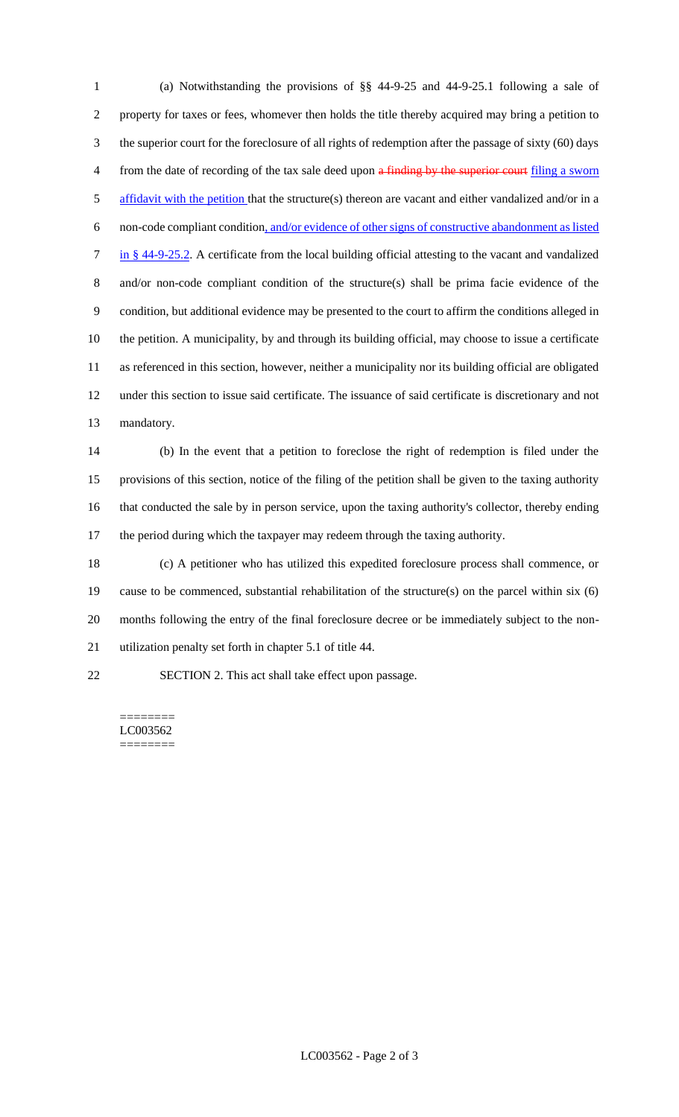(a) Notwithstanding the provisions of §§ 44-9-25 and 44-9-25.1 following a sale of property for taxes or fees, whomever then holds the title thereby acquired may bring a petition to the superior court for the foreclosure of all rights of redemption after the passage of sixty (60) days 4 from the date of recording of the tax sale deed upon a finding by the superior court filing a sworn 5 affidavit with the petition that the structure(s) thereon are vacant and either vandalized and/or in a non-code compliant condition, and/or evidence of other signs of constructive abandonment as listed in § 44-9-25.2. A certificate from the local building official attesting to the vacant and vandalized and/or non-code compliant condition of the structure(s) shall be prima facie evidence of the condition, but additional evidence may be presented to the court to affirm the conditions alleged in the petition. A municipality, by and through its building official, may choose to issue a certificate as referenced in this section, however, neither a municipality nor its building official are obligated under this section to issue said certificate. The issuance of said certificate is discretionary and not mandatory.

 (b) In the event that a petition to foreclose the right of redemption is filed under the provisions of this section, notice of the filing of the petition shall be given to the taxing authority that conducted the sale by in person service, upon the taxing authority's collector, thereby ending 17 the period during which the taxpayer may redeem through the taxing authority.

 (c) A petitioner who has utilized this expedited foreclosure process shall commence, or cause to be commenced, substantial rehabilitation of the structure(s) on the parcel within six (6) months following the entry of the final foreclosure decree or be immediately subject to the non-utilization penalty set forth in chapter 5.1 of title 44.

SECTION 2. This act shall take effect upon passage.

======== LC003562 ========